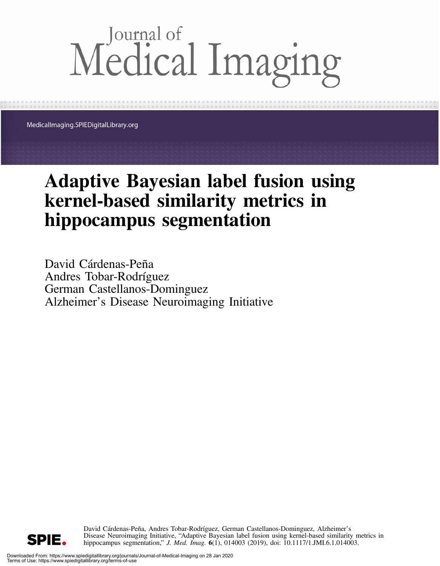# Medical Imaging

MedicalImaging.SPIEDigitalLibrary.org

## Adaptive Bayesian label fusion using kernel-based similarity metrics in hippocampus segmentation

David Cárdenas-Peña Andres Tobar-Rodríguez German Castellanos-Dominguez Alzheimer's Disease Neuroimaging Initiative

> David Cárdenas-Peña, Andres Tobar-Rodríguez, German Castellanos-Dominguez, Alzheimer's Disease Neuroimaging Initiative, "Adaptive Bayesian label fusion using kernel-based similarity metrics in hippocampus segmentation," *J. Med. Imag.* **6**(1), 014003 (2019), doi: 10.1117/1.JMI.6.1.014003.

SPIE.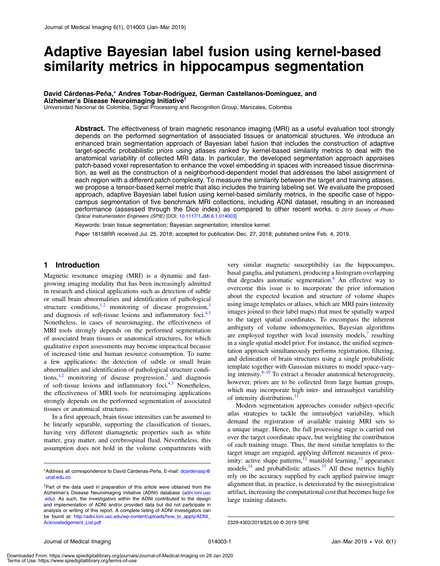### Adaptive Bayesian label fusion using kernel-based similarity metrics in hippocampus segmentation

David Cárdenas-Peña[,\\*](#page-1-0) Andres Tobar-Rodríguez, German Castellanos-Dominguez, and Alzheimer's Disease Neuroimaging Initiative†

Universidad Nacional de Colombia, Signal Processing and Recognition Group, Manizales, Colombia

Abstract. The effectiveness of brain magnetic resonance imaging (MRI) as a useful evaluation tool strongly depends on the performed segmentation of associated tissues or anatomical structures. We introduce an enhanced brain segmentation approach of Bayesian label fusion that includes the construction of adaptive target-specific probabilistic priors using atlases ranked by kernel-based similarity metrics to deal with the anatomical variability of collected MRI data. In particular, the developed segmentation approach appraises patch-based voxel representation to enhance the voxel embedding in spaces with increased tissue discrimination, as well as the construction of a neighborhood-dependent model that addresses the label assignment of each region with a different patch complexity. To measure the similarity between the target and training atlases, we propose a tensor-based kernel metric that also includes the training labeling set. We evaluate the proposed approach, adaptive Bayesian label fusion using kernel-based similarity metrics, in the specific case of hippocampus segmentation of five benchmark MRI collections, including ADNI dataset, resulting in an increased performance (assessed through the Dice index) as compared to other recent works. © 2019 Society of Photo-Optical Instrumentation Engineers (SPIE) [DOI: [10.1117/1.JMI.6.1.014003\]](https://doi.org/10.1117/1.JMI.6.1.014003)

Keywords: brain tissue segmentation; Bayesian segmentation; interslice kernel.

Paper 18158RR received Jul. 25, 2018; accepted for publication Dec. 27, 2018; published online Feb. 4, 2019.

#### 1 Introduction

Magnetic resonance imaging (MRI) is a dynamic and fastgrowing imaging modality that has been increasingly admitted in research and clinical applications such as detection of subtle or small brain abnormalities and identification of pathological structure conditions, $1,2$  $1,2$  monitoring of disease progression, $3$ and diagnosis of soft-tissue lesions and inflammatory foci. $4.5$  $4.5$  $4.5$ Nonetheless, in cases of neuroimaging, the effectiveness of MRI tools strongly depends on the performed segmentation of associated brain tissues or anatomical structures, for which qualitative expert assessments may become impractical because of increased time and human resource consumption. To name a few applications: the detection of subtle or small brain abnormalities and identification of pathological structure conditions, $1,2$  $1,2$  monitoring of disease progression,<sup>[3](#page-8-2)</sup> and diagnosis of soft-tissue lesions and inflammatory foci.<sup>[4,](#page-8-3)[5](#page-8-4)</sup> Nonetheless, the effectiveness of MRI tools for neuroimaging applications strongly depends on the performed segmentation of associated tissues or anatomical structures.

In a first approach, brain tissue intensities can be assumed to be linearly separable, supporting the classification of tissues, having very different diamagnetic properties such as white matter, gray matter, and cerebrospinal fluid. Nevertheless, this assumption does not hold in the volume compartments with

very similar magnetic susceptibility (as the hippocampus, basal ganglia, and putamen), producing a histogram overlapping that degrades automatic segmentation.<sup>[6](#page-8-5)</sup> An effective way to overcome this issue is to incorporate the prior information about the expected location and structure of volume shapes using image templates or atlases, which are MRI pairs (intensity images joined to their label maps) that must be spatially warped to the target spatial coordinates. To encompass the inherent ambiguity of volume inhomogeneities, Bayesian algorithms are employed together with local intensity models, $\prime$  resulting in a single spatial model prior. For instance, the unified segmentation approach simultaneously performs registration, filtering, and delineation of brain structures using a single probabilistic template together with Gaussian mixtures to model space-varying intensity. $8-10$  $8-10$  $8-10$  To extract a broader anatomical heterogeneity, however, priors are to be collected from large human groups, which may incorporate high inter- and intrasubject variability of intensity distributions.<sup>[11](#page-8-9)</sup>

Modern segmentation approaches consider subject-specific atlas strategies to tackle the intrasubject variability, which demand the registration of available training MRI sets to a unique image. Hence, the full processing stage is carried out over the target coordinate space, but weighting the contribution of each training image. Thus, the most similar templates to the target image are engaged, applying different measures of proximity: active shape patterns, $12$  manifold learning, $13$  appearance models, $14$  and probabilistic atlases.<sup>[15](#page-8-13)</sup> All these metrics highly rely on the accuracy supplied by each applied pairwise image alignment that, in practice, is deteriorated by the misregistration artifact, increasing the computational cost that becomes huge for large training datasets.

<span id="page-1-0"></span><sup>\*</sup>Address all correspondence to David Cárdenas-Peña, E-mail: [dcardenasp@](mailto:dcardenasp@unal.edu.co) [unal.edu.co](mailto:dcardenasp@unal.edu.co)

<sup>&</sup>lt;sup>†</sup>Part of the data used in preparation of this article were obtained from the Alzheimer's Disease Neuroimaging Initiative (ADNI) database (adni.loni.usc .edu). As such, the investigators within the ADNI contributed to the design and implementation of ADNI and/or provided data but did not participate in analysis or writing of this report. A complete listing of ADNI investigators can be found at: [http://adni.loni.usc.edu/wp-content/uploads/how\\_to\\_apply/ADNI\\_](http://adni.loni.usc.edu/wp-content/uploads/how_to_apply/ADNI_Acknowledgement_List.pdf)<br>Acknowledgement\_List.pdf

<sup>2329-4302/2019/\$25.00 © 2019</sup> SPIE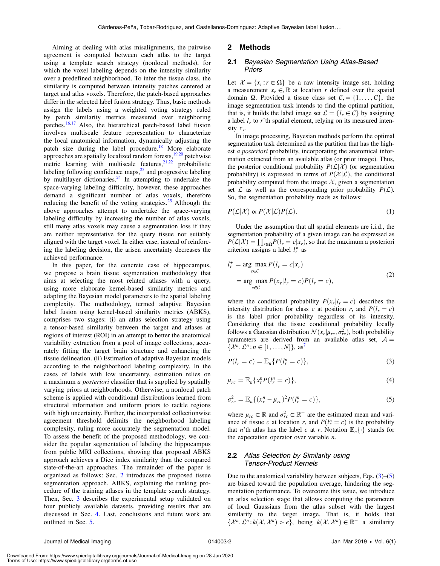Aiming at dealing with atlas misalignments, the pairwise agreement is computed between each atlas to the target using a template search strategy (nonlocal methods), for which the voxel labeling depends on the intensity similarity over a predefined neighborhood. To infer the tissue class, the similarity is computed between intensity patches centered at target and atlas voxels. Therefore, the patch-based approaches differ in the selected label fusion strategy. Thus, basic methods assign the labels using a weighted voting strategy ruled by patch similarity metrics measured over neighboring patches.<sup>[16](#page-8-14)[,17](#page-8-15)</sup> Also, the hierarchical patch-based label fusion involves multiscale feature representation to characterize the local anatomical information, dynamically adjusting the patch size during the label procedure.<sup>[18](#page-8-16)</sup> More elaborate approaches are spatially localized random forests, $19,20$  $19,20$  $19,20$  patchwise metric learning with multiscale features,  $21,22$  $21,22$  probabilistic labeling following confidence maps, $^{23}$  $^{23}$  $^{23}$  and progressive labeling by multilayer dictionaries. $24$  In attempting to undertake the space-varying labeling difficulty, however, these approaches demand a significant number of atlas voxels, therefore reducing the benefit of the voting strategies. $25$  Although the above approaches attempt to undertake the space-varying labeling difficulty by increasing the number of atlas voxels, still many atlas voxels may cause a segmentation loss if they are neither representative for the query tissue nor suitably aligned with the target voxel. In either case, instead of reinforcing the labeling decision, the arisen uncertainty decreases the achieved performance.

In this paper, for the concrete case of hippocampus, we propose a brain tissue segmentation methodology that aims at selecting the most related atlases with a query, using more elaborate kernel-based similarity metrics and adapting the Bayesian model parameters to the spatial labeling complexity. The methodology, termed adaptive Bayesian label fusion using kernel-based similarity metrics (ABKS), comprises two stages: (i) an atlas selection strategy using a tensor-based similarity between the target and atlases at regions of interest (ROI) in an attempt to better the anatomical variability extraction from a pool of image collections, accurately fitting the target brain structure and enhancing the tissue delineation. (ii) Estimation of adaptive Bayesian models according to the neighborhood labeling complexity. In the cases of labels with low uncertainty, estimation relies on a maximum *a posteriori* classifier that is supplied by spatially varying priors at neighborhoods. Otherwise, a nonlocal patch scheme is applied with conditional distributions learned from structural information and uniform priors to tackle regions with high uncertainty. Further, the incorporated collectionwise agreement threshold delimits the neighborhood labeling complexity, ruling more accurately the segmentation model. To assess the benefit of the proposed methodology, we consider the popular segmentation of labeling the hippocampus from public MRI collections, showing that proposed ABKS approach achieves a Dice index similarity than the compared state-of-the-art approaches. The remainder of the paper is organized as follows: Sec. [2](#page-2-0) introduces the proposed tissue segmentation approach, ABKS, explaining the ranking procedure of the training atlases in the template search strategy. Then, Sec. [3](#page-3-0) describes the experimental setup validated on four publicly available datasets, providing results that are discussed in Sec. [4](#page-6-0). Last, conclusions and future work are outlined in Sec. [5.](#page-7-0)

#### <span id="page-2-0"></span>2 Methods

#### 2.1 Bayesian Segmentation Using Atlas-Based Priors

Let  $\mathcal{X} = \{x_r : r \in \Omega\}$  be a raw intensity image set, holding a measurement  $x_r \in \mathbb{R}$  at location r defined over the spatial domain  $\Omega$ . Provided a tissue class set  $C = \{1, \ldots, C\}$ , the image segmentation task intends to find the optimal partition, that is, it builds the label image set  $\mathcal{L} = \{l_r \in \mathcal{C}\}\$  by assigning a label  $l_r$  to r'th spatial element, relying on its measured intensity  $x_r$ .

In image processing, Bayesian methods perform the optimal segmentation task determined as the partition that has the highest a posteriori probability, incorporating the anatomical information extracted from an available atlas (or prior image). Thus, the posterior conditional probability  $P(L|\mathcal{X})$  (or segmentation probability) is expressed in terms of  $P(X|\mathcal{L})$ , the conditional probability computed from the image  $X$ , given a segmentation set  $\mathcal L$  as well as the corresponding prior probability  $P(\mathcal L)$ . So, the segmentation probability reads as follows:

$$
P(\mathcal{L}|\mathcal{X}) \propto P(\mathcal{X}|\mathcal{L})P(\mathcal{L}).
$$
\n(1)

Under the assumption that all spatial elements are i.i.d., the segmentation probability of a given image can be expressed as  $P(\mathcal{L}|\mathcal{X}) = \prod_{r \in \Omega} P(l_r = c|x_r)$ , so that the maximum a posterioric criterion assigns a label  $l^*$  as criterion assigns a label  $l_r^{\star}$  as

<span id="page-2-3"></span>
$$
l_r^* = \underset{c \in \mathcal{C}}{\arg \max} P(l_r = c | x_r)
$$
  
= 
$$
\underset{c \in \mathcal{C}}{\arg \max} P(x_r | l_r = c) P(l_r = c),
$$
 (2)

where the conditional probability  $P(x_r|l_r = c)$  describes the intensity distribution for class c at position r, and  $P(l<sub>r</sub> = c)$ is the label prior probability regardless of its intensity. Considering that the tissue conditional probability locally follows a Gaussian distribution  $\mathcal{N}(x_r | \mu_{rc}, \sigma_{rc}^2)$ , both probability<br>parameters are derived from an available atlas set  $A$ parameters are derived from an available atlas set,  $A =$  $\{\mathcal{X}^n, \mathcal{L}^n : n \in [1, \ldots, N]\}, \text{ as}^7$  $\{\mathcal{X}^n, \mathcal{L}^n : n \in [1, \ldots, N]\}, \text{ as}^7$ 

<span id="page-2-1"></span>
$$
P(l_r = c) = \mathbb{E}_n\{P(l_r^n = c)\},\tag{3}
$$

<span id="page-2-2"></span>
$$
\mu_{rc} = \mathbb{E}_n \{ x_r^n P(l_r^n = c) \},\tag{4}
$$

$$
\sigma_{rc}^2 = \mathbb{E}_n \{ (x_r^n - \mu_{rc})^2 P(l_r^n = c) \},\tag{5}
$$

where  $\mu_{rc} \in \mathbb{R}$  and  $\sigma_{rc}^2 \in \mathbb{R}^+$  are the estimated mean and variance of tissue c at location r, and  $P(l_i^n = c)$  is the probability that *n*'th at as has the label c at r. Notation  $\mathbb{E}(\lambda)$  stands for that *n*'th atlas has the label *c* at *r*. Notation  $\mathbb{E}_n\{\cdot\}$  stands for the expectation operator over variable  $n$ .

#### 2.2 Atlas Selection by Similarity using Tensor-Product Kernels

Due to the anatomical variability between subjects, Eqs.  $(3)$  $(3)$  $(3)$ – $(5)$ are biased toward the population average, hindering the segmentation performance. To overcome this issue, we introduce an atlas selection stage that allows computing the parameters of local Gaussians from the atlas subset with the largest similarity to the target image. That is, it holds that  $\{\mathcal{X}^n, \mathcal{L}^n : k(\mathcal{X}, \mathcal{X}^n) > \epsilon\}$ , being  $k(\mathcal{X}, \mathcal{X}^n) \in \mathbb{R}^+$  a similarity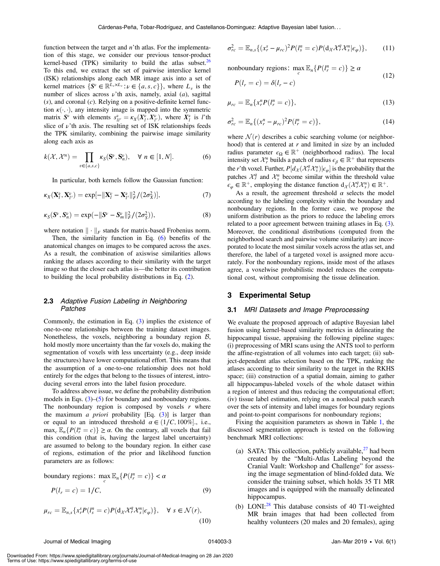function between the target and  $n'$ th atlas. For the implementation of this stage, we consider our previous tensor-product kernel-based (TPK) similarity to build the atlas subset.<sup>26</sup> To this end, we extract the set of pairwise interslice kernel (ISK) relationships along each MR image axis into a set of kernel matrices  $\{S^{\nu} \in \mathbb{R}^{L_{\nu} \times L_{\nu}} : \nu \in \{a, s, c\}\}\,$ , where  $L_{\nu}$  is the number of slices across  $\nu$ 'th axis, namely, axial (a), sagittal  $(s)$ , and coronal  $(c)$ . Relying on a positive-definite kernel function  $\kappa(\cdot, \cdot)$ , any intensity image is mapped into the symmetric matrix  $S^{\nu}$  with elements  $s^{\nu}_{ll'} = \kappa_X(X^{\nu}_{l}, X^{\nu}_{l})$ , where  $X^{\nu}_{l}$  is *l'th* slice of *v'th* axis. The resulting set of ISK relationships feeds slice of  $\nu$ 'th axis. The resulting set of ISK relationships feeds the TPK similarity, combining the pairwise image similarity along each axis as

<span id="page-3-1"></span>
$$
k(\mathcal{X}, \mathcal{X}^n) = \prod_{v \in \{a, s, c\}} \kappa_S(\mathbf{S}^v, \mathbf{S}^v_n), \quad \forall \ n \in [1, N]. \tag{6}
$$

<span id="page-3-2"></span>In particular, both kernels follow the Gaussian function:

<span id="page-3-3"></span>
$$
\kappa_X(\mathbf{X}_l^{\nu}, \mathbf{X}_{l'}^{\nu}) = \exp[-\|\mathbf{X}_l^{\nu} - \mathbf{X}_{l'}^{\nu}\|_F^2 / (2\sigma_X^2)],\tag{7}
$$

$$
\kappa_S(S^\nu, S_n^\nu) = \exp(-\|S^\nu - S_m^\nu\|_F^2 / (2\sigma_S^2)),\tag{8}
$$

where notation  $\|\cdot\|_F$  stands for matrix-based Frobenius norm.

Then, the similarity function in Eq. ([6](#page-3-1)) benefits of the anatomical changes on images to be compared across the axes. As a result, the combination of axiswise similarities allows ranking the atlases according to their similarity with the target image so that the closer each atlas is—the better its contribution to building the local probability distributions in Eq. [\(2](#page-2-3)).

#### 2.3 Adaptive Fusion Labeling in Neighboring Patches

Commonly, the estimation in Eq. [\(3](#page-2-1)) implies the existence of one-to-one relationships between the training dataset images. Nonetheless, the voxels, neighboring a boundary region  $B$ , hold mostly more uncertainty than the far voxels do, making the segmentation of voxels with less uncertainty (e.g., deep inside the structures) have lower computational effort. This means that the assumption of a one-to-one relationship does not hold entirely for the edges that belong to the tissues of interest, introducing several errors into the label fusion procedure.

To address above issue, we define the probability distribution models in Eqs. ([3\)](#page-2-1)–([5](#page-2-2)) for boundary and nonboundary regions. The nonboundary region is composed by voxels  $r$  where the maximum *a priori* probability [Eq.  $(3)$ ] is larger than or equal to an introduced threshold  $\alpha \in (1/C, 100\%]$ , i.e.,<br>may  $\mathbb{F} \{P(I^n-c)\} > \alpha$  On the contrary all voxels that fail  $\max_{c} \mathbb{E}_{n} \{ P(l_i^n = c) \} \ge \alpha$ . On the contrary, all voxels that fail this condition (that is having the largest label uncertainty) this condition (that is, having the largest label uncertainty) are assumed to belong to the boundary region. In either case of regions, estimation of the prior and likelihood function parameters are as follows:

boundary regions:  $\max_{c} \mathbb{E}_n\{P(l_r^n = c)\} < \alpha$ 

$$
P(l_r = c) = 1/C,\t\t(9)
$$

$$
\mu_{rc} = \mathbb{E}_{n,s} \{ x_r^s P(l_s^n = c) P(d_{\mathcal{X}} \mathcal{X}_r^q \mathcal{X}_s^n | \epsilon_{\varphi}) \}, \quad \forall \ s \in \mathcal{N}(r),
$$
\n(10)

$$
\sigma_{rc}^2 = \mathbb{E}_{n,s}\{(x_r^s - \mu_{rc})^2 P(l_s^n = c)P(\mathrm{d}_{\mathcal{X}}\mathcal{X}_r^q \mathcal{X}_s^n | \epsilon_{\varphi})\},\qquad(11)
$$

nonboundary regions:  $\max_c \mathbb{E}_n\{P(l_r^n = c)\} \ge \alpha$ 

$$
P(l_r = c) = \delta(l_r - c)
$$

 $(12)$ 

$$
\mu_{rc} = \mathbb{E}_n \{ x_r^n P(l_r^n = c) \},\tag{13}
$$

$$
\sigma_{rc}^2 = \mathbb{E}_n \{ (x_r^n - \mu_{rc})^2 P(l_r^n = c) \},\tag{14}
$$

where  $\mathcal{N}(r)$  describes a cubic searching volume (or neighborhood) that is centered at  $r$  and limited in size by an included radius parameter  $\epsilon_{\Omega} \in \mathbb{R}^+$  (neighborhood radius). The local intensity set  $\mathcal{X}_r^n$  builds a patch of radius  $\epsilon_\beta \in \mathbb{R}^+$  that represents the r'th voxel. Further,  $P[d_{\mathcal{X}}(\mathcal{X}_{\tau}^{q}\mathcal{X}_{\tau}^{n})|\epsilon_{\varphi}]$  is the probability that the patches.  $\mathcal{X}_{\tau}^{q}$  and  $\mathcal{X}_{\tau}^{n}$  become similar within the threshold value patches  $\mathcal{X}_r^q$  and  $\mathcal{X}_s^n$  become similar within the threshold value  $\epsilon_{\varphi} \in \mathbb{R}^+$ , employing the distance function  $d_{\mathcal{X}}(\mathcal{X}_{\tau}^q, \mathcal{X}_{\tau}^n) \in \mathbb{R}^+$ .

As a result, the agreement threshold  $\alpha$  selects the model according to the labeling complexity within the boundary and nonboundary regions. In the former case, we propose the uniform distribution as the priors to reduce the labeling errors related to a poor agreement between training atlases in Eq. ([3](#page-2-1)). Moreover, the conditional distributions (computed from the neighborhood search and pairwise volume similarity) are incorporated to locate the most similar voxels across the atlas set, and therefore, the label of a targeted voxel is assigned more accurately. For the nonboundary regions, inside most of the atlases agree, a voxelwise probabilistic model reduces the computational cost, without compromising the tissue delineation.

#### <span id="page-3-0"></span>3 Experimental Setup

#### 3.1 MRI Datasets and Image Preprocessing

We evaluate the proposed approach of adaptive Bayesian label fusion using kernel-based similarity metrics in delineating the hippocampal tissue, appraising the following pipeline stages: (i) preprocessing of MRI scans using the ANTS tool to perform the affine-registration of all volumes into each target; (ii) subject-dependent atlas selection based on the TPK, ranking the atlases according to their similarity to the target in the RKHS space; (iii) construction of a spatial domain, aiming to gather all hippocampus-labeled voxels of the whole dataset within a region of interest and thus reducing the computational effort; (iv) tissue label estimation, relying on a nonlocal patch search over the sets of intensity and label images for boundary regions and point-to-point comparisons for nonboundary regions;

Fixing the acquisition parameters as shown in Table [1,](#page-4-0) the discussed segmentation approach is tested on the following benchmark MRI collections:

- (a) SATA: This collection, publicly available,  $27$  had been created by the "Multi-Atlas Labeling beyond the Cranial Vault: Workshop and Challenge" for assessing the image segmentation of blind-folded data. We consider the training subset, which holds 35 T1 MR images and is equipped with the manually delineated hippocampus.
- (b) LONI: $^{28}$  $^{28}$  $^{28}$  This database consists of 40 T1-weighted MR brain images that had been collected from healthy volunteers (20 males and 20 females), aging

Downloaded From: https://www.spiedigitallibrary.org/journals/Journal-of-Medical-Imaging on 28 Jan 2020 Terms of Use: https://www.spiedigitallibrary.org/terms-of-use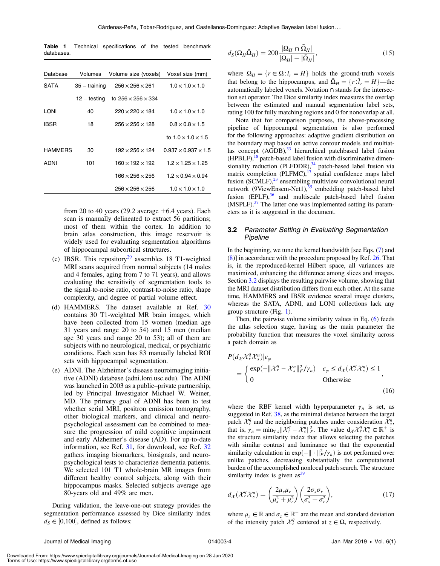<span id="page-4-0"></span>Table 1 Technical specifications of the tested benchmark databases.

| Database | Volumes         | Volume size (voxels)           | Voxel size (mm)                 |  |
|----------|-----------------|--------------------------------|---------------------------------|--|
| SATA     | $35 -$ training | $256 \times 256 \times 261$    | $1.0 \times 1.0 \times 1.0$     |  |
|          | 12 – testing    | to $256 \times 256 \times 334$ |                                 |  |
| LONI     | 40              | $220 \times 220 \times 184$    | $1.0 \times 1.0 \times 1.0$     |  |
| IBSR     | 18              | $256 \times 256 \times 128$    | $0.8 \times 0.8 \times 1.5$     |  |
|          |                 |                                | to $1.0 \times 1.0 \times 1.5$  |  |
| HAMMERS  | 30              | $192 \times 256 \times 124$    | $0.937 \times 0.937 \times 1.5$ |  |
| ADNI     | 101             | $160 \times 192 \times 192$    | $1.2 \times 1.25 \times 1.25$   |  |
|          |                 | $166 \times 256 \times 256$    | $1.2 \times 0.94 \times 0.94$   |  |
|          |                 | $256 \times 256 \times 256$    | $1.0 \times 1.0 \times 1.0$     |  |

from 20 to 40 years (29.2 average  $\pm$ 6.4 years). Each scan is manually delineated to extract 56 partitions; most of them within the cortex. In addition to brain atlas construction, this image reservoir is widely used for evaluating segmentation algorithms of hippocampal subcortical structures.

- (c) IBSR. This repository<sup>[29](#page-8-27)</sup> assembles 18 T1-weighted MRI scans acquired from normal subjects (14 males and 4 females, aging from 7 to 71 years), and allows evaluating the sensitivity of segmentation tools to the signal-to-noise ratio, contrast-to-noise ratio, shape complexity, and degree of partial volume effect.
- (d) HAMMERS. The dataset available at Ref. [30](#page-8-28) contains 30 T1-weighted MR brain images, which have been collected from 15 women (median age 31 years and range 20 to 54) and 15 men (median age 30 years and range 20 to 53); all of them are subjects with no neurological, medical, or psychiatric conditions. Each scan has 83 manually labeled ROI sets with hippocampal segmentation.
- (e) ADNI. The Alzheimer's disease neuroimaging initiative (ADNI) database (adni.loni.usc.edu). The ADNI was launched in 2003 as a public–private partnership, led by Principal Investigator Michael W. Weiner, MD. The primary goal of ADNI has been to test whether serial MRI, positron emission tomography, other biological markers, and clinical and neuropsychological assessment can be combined to measure the progression of mild cognitive impairment and early Alzheimer's disease (AD). For up-to-date information, see Ref. [31](#page-8-29), for download, see Ref. [32](#page-8-30) gathers imaging biomarkers, biosignals, and neuropsychological tests to characterize dementia patients. We selected 101 T1 whole-brain MR images from different healthy control subjects, along with their hippocampus masks. Selected subjects average age 80-years old and 49% are men.

During validation, the leave-one-out strategy provides the segmentation performance assessed by Dice similarity index  $d_S \in [0,100]$ , defined as follows:

$$
d_S(\Omega_H \tilde{\Omega}_H) = 200 \frac{|\Omega_H \cap \tilde{\Omega}_H|}{|\Omega_H| + |\tilde{\Omega}_H|},
$$
\n(15)

where  $\Omega_H = \{r \in \Omega : l_r = H\}$  holds the ground-truth voxels that belong to the hippocampus, and  $\tilde{\Omega}_H = \{r : \tilde{l}_r = H\}$ —the automatically labeled voxels. Notation  $\Omega$  stands for the intersecautomatically labeled voxels. Notation ∩ stands for the intersection set operator. The Dice similarity index measures the overlap between the estimated and manual segmentation label sets, rating 100 for fully matching regions and 0 for nonoverlap at all.

Note that for comparison purposes, the above-processing pipeline of hippocampal segmentation is also performed for the following approaches: adaptive gradient distribution on the boundary map based on active contour models and multiat-las concept (AGDB),<sup>[33](#page-8-31)</sup> hierarchical patchbased label fusion  $(HPBLF)$ ,<sup>[18](#page-8-16)</sup> patch-based label fusion with discriminative dimensionality reduction  $(PLFDDR)$ ,<sup>[34](#page-8-32)</sup> patch-based label fusion via matrix completion  $(PLFMC),<sup>17</sup>$  $(PLFMC),<sup>17</sup>$  $(PLFMC),<sup>17</sup>$  spatial confidence maps label fusion  $(SCMLF),<sup>23</sup>$  $(SCMLF),<sup>23</sup>$  $(SCMLF),<sup>23</sup>$  ensembling multiview convolutional neural network (9ViewEnsem-Net1),<sup>[35](#page-8-33)</sup> embedding patch-based label fusion  $(EPLF)$ ,<sup>36</sup> and multiscale patch-based label fusion  $(MSPLF).$ <sup>[37](#page-8-35)</sup> The latter one was implemented setting its parameters as it is suggested in the document.

#### <span id="page-4-1"></span>3.2 Parameter Setting in Evaluating Segmentation Pipeline

In the beginning, we tune the kernel bandwidth [see Eqs. [\(7](#page-3-2)) and ([8\)](#page-3-3)] in accordance with the procedure proposed by Ref. [26](#page-8-24). That is, in the reproduced-kernel Hilbert space, all variances are maximized, enhancing the difference among slices and images. Section [3.2](#page-4-1) displays the resulting pairwise volume, showing that the MRI dataset distribution differs from each other. At the same time, HAMMERS and IBSR evidence several image clusters, whereas the SATA, ADNI, and LONI collections lack any group structure (Fig. [1\)](#page-5-0).

Then, the pairwise volume similarity values in Eq. ([6](#page-3-1)) feeds the atlas selection stage, having as the main parameter the probability function that measures the voxel similarity across a patch domain as

$$
P(d_{\mathcal{X}}\mathcal{X}_r^q \mathcal{X}_s^n)|\epsilon_{\varphi}
$$
  
= 
$$
\begin{cases} \exp(-\|\mathcal{X}_r^q - \mathcal{X}_s^n\|_F^2/\gamma_n) & \epsilon_{\varphi} \le d_{\mathcal{X}}(\mathcal{X}_r^q \mathcal{X}_s^n) \le 1\\ 0 & \text{Otherwise} \end{cases}
$$
, (16)

where the RBF kernel width hyperparameter  $\gamma_n$  is set, as suggested in Ref. [38](#page-8-36), as the minimal distance between the target patch  $\mathcal{X}_r^q$  and the neighboring patches under consideration  $\mathcal{X}_s^q$ , that is,  $\gamma_n = \min_{\mathbf{y}_s} \|\mathcal{X}_t^q - \mathcal{X}_s^n\|_F^2$ . The value  $d_{\mathcal{X}} \mathcal{X}_t^q \mathcal{X}_s^n \in \mathbb{R}^+$  is<br>the structure similarity index that allows selecting the patches the structure similarity index that allows selecting the patches with similar contrast and luminance so that the exponential similarity calculation in  $\exp(-\|\cdot\|_F^2/\gamma_n)$  is not performed over<br>unlike patches decreasing substantially the computational unlike patches, decreasing substantially the computational burden of the accomplished nonlocal patch search. The structure similarity index is given as  $39$ 

$$
d_{\mathcal{X}}(\mathcal{X}_r^q \mathcal{X}_s^n) = \left(\frac{2\mu_s \mu_r}{\mu_s^2 + \mu_r^2}\right) \left(\frac{2\sigma_s \sigma_r}{\sigma_s^2 + \sigma_r^2}\right),\tag{17}
$$

where  $\mu_z \in \mathbb{R}$  and  $\sigma_z \in \mathbb{R}^+$  are the mean and standard deviation of the intensity patch  $X^q_z$  centered at  $z \in \Omega$ , respectively.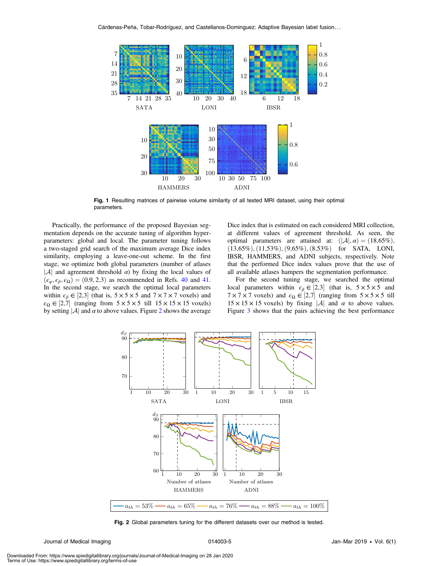<span id="page-5-0"></span>

Fig. 1 Resulting matrices of pairwise volume similarity of all tested MRI dataset, using their optimal parameters.

Practically, the performance of the proposed Bayesian segmentation depends on the accurate tuning of algorithm hyperparameters: global and local. The parameter tuning follows a two-staged grid search of the maximum average Dice index similarity, employing a leave-one-out scheme. In the first stage, we optimize both global parameters (number of atlases  $|A|$  and agreement threshold  $\alpha$ ) by fixing the local values of  $(\epsilon_{\varphi}, \epsilon_{\beta}, \epsilon_{\Omega}) = (0.9, 2.3)$  as recommended in Refs. [40](#page-8-38) and [41.](#page-8-39) In the second stage, we search the optimal local parameters within  $\epsilon_{\beta} \in [2,3]$  (that is,  $5 \times 5 \times 5$  and  $7 \times 7 \times 7$  voxels) and  $\epsilon_{\beta} \in [7, 7]$  (ranging from  $5 \times 5 \times 5$  till  $15 \times 15 \times 15$  voxels)  $\epsilon_{\Omega} \in [2, 7]$  (ranging from  $5 \times 5 \times 5$  till  $15 \times 15 \times 15$  voxels)<br>by setting [A] and  $\alpha$  to above values. Figure 2 shows the average by setting  $|\mathcal{A}|$  and  $\alpha$  to above values. Figure [2](#page-5-1) shows the average Dice index that is estimated on each considered MRI collection, at different values of agreement threshold. As seen, the optimal parameters are attained at:  $(|A|, \alpha) = (18,65\%)$ ,  $(13,65\%), (11,53\%), (9,65\%), (8,53\%)$  for SATA, LONI, IBSR, HAMMERS, and ADNI subjects, respectively. Note that the performed Dice index values prove that the use of all available atlases hampers the segmentation performance.

For the second tuning stage, we searched the optimal local parameters within  $\epsilon_{\beta} \in [2,3]$  (that is,  $5 \times 5 \times 5$  and  $7 \times 7 \times 7$  yoxels) and  $\epsilon_0 \in [2,7]$  (ranging from  $5 \times 5 \times 5$  till  $7 \times 7 \times 7$  voxels) and  $\epsilon_{\Omega} \in [2, 7]$  (ranging from  $5 \times 5 \times 5$  till  $15 \times 15 \times 15$  voxels) by fixing | A| and  $\alpha$  to above values  $15 \times 15 \times 15$  voxels) by fixing |A| and  $\alpha$  to above values. Figure [3](#page-6-1) shows that the pairs achieving the best performance

<span id="page-5-1"></span>

Fig. 2 Global parameters tuning for the different datasets over our method is tested.

Downloaded From: https://www.spiedigitallibrary.org/journals/Journal-of-Medical-Imaging on 28 Jan 2020 Terms of Use: https://www.spiedigitallibrary.org/terms-of-use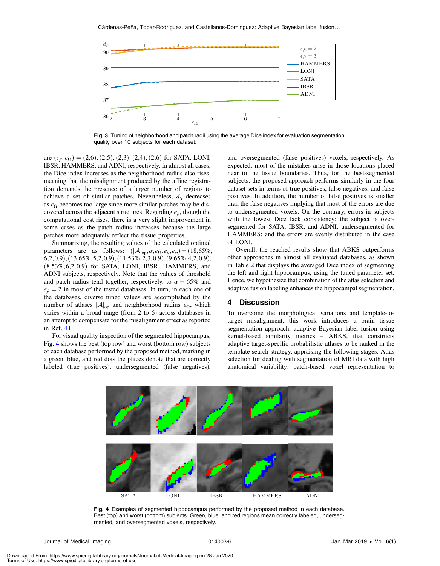<span id="page-6-1"></span>

Fig. 3 Tuning of neighborhood and patch radii using the average Dice index for evaluation segmentation quality over 10 subjects for each dataset.

are  $(\epsilon_{\beta}, \epsilon_{\Omega}) = (2.6), (2.5), (2.3), (2.4), (2.6)$  for SATA, LONI, IBSR, HAMMERS, and ADNI, respectively. In almost all cases, the Dice index increases as the neighborhood radius also rises, meaning that the misalignment produced by the affine registration demands the presence of a larger number of regions to achieve a set of similar patches. Nevertheless,  $d_S$  decreases as  $\epsilon_{\Omega}$  becomes too large since more similar patches may be discovered across the adjacent structures. Regarding  $\epsilon_{\beta}$ , though the computational cost rises, there is a very slight improvement in some cases as the patch radius increases because the large patches more adequately reflect the tissue properties.

Summarizing, the resulting values of the calculated optimal parameters are as follows:  $(|A|_{op}, \alpha, \epsilon_{\Omega}, \epsilon_{\beta}, \epsilon_{\varphi}) = (18,65\%,$  $(6,2,0.9), (13,65\%,5,2,0.9), (11,53\%,2,3,0.9), (9,65\%,4,2,0.9),$  $(8,53\%, 6,2,0.9)$  for SATA, LONI, IBSR, HAMMERS, and ADNI subjects, respectively. Note that the values of threshold and patch radius tend together, respectively, to  $\alpha = 65\%$  and  $\epsilon_{\beta} = 2$  in most of the tested databases. In turn, in each one of the databases, diverse tuned values are accomplished by the number of atlases  $|\mathcal{A}|_{op}$  and neighborhood radius  $\epsilon_{\Omega}$ , which varies within a broad range (from 2 to 6) across databases in an attempt to compensate for the misalignment effect as reported in Ref. [41.](#page-8-39)

For visual quality inspection of the segmented hippocampus, Fig. [4](#page-6-2) shows the best (top row) and worst (bottom row) subjects of each database performed by the proposed method, marking in a green, blue, and red dots the places denote that are correctly labeled (true positives), undersegmented (false negatives), and oversegmented (false positives) voxels, respectively. As expected, most of the mistakes arise in those locations placed near to the tissue boundaries. Thus, for the best-segmented subjects, the proposed approach performs similarly in the four dataset sets in terms of true positives, false negatives, and false positives. In addition, the number of false positives is smaller than the false negatives implying that most of the errors are due to undersegmented voxels. On the contrary, errors in subjects with the lowest Dice lack consistency: the subject is oversegmented for SATA, IBSR, and ADNI; undersegmented for HAMMERS; and the errors are evenly distributed in the case of LONI.

Overall, the reached results show that ABKS outperforms other approaches in almost all evaluated databases, as shown in Table [2](#page-7-1) that displays the averaged Dice index of segmenting the left and right hippocampus, using the tuned parameter set. Hence, we hypothesize that combination of the atlas selection and adaptive fusion labeling enhances the hippocampal segmentation.

#### <span id="page-6-0"></span>4 Discussion

To overcome the morphological variations and template-totarget misalignment, this work introduces a brain tissue segmentation approach, adaptive Bayesian label fusion using kernel-based similarity metrics – ABKS, that constructs adaptive target-specific probabilistic atlases to be ranked in the template search strategy, appraising the following stages: Atlas selection for dealing with segmentation of MRI data with high anatomical variability; patch-based voxel representation to

<span id="page-6-2"></span>

Fig. 4 Examples of segmented hippocampus performed by the proposed method in each database. Best (top) and worst (bottom) subjects. Green, blue, and red regions mean correctly labeled, undersegmented, and oversegmented voxels, respectively.

Journal of Medical Imaging Theorem 2014 Contract of Medical Imaging 114003-6 Jan–Mar 2019 • Vol. 6(1)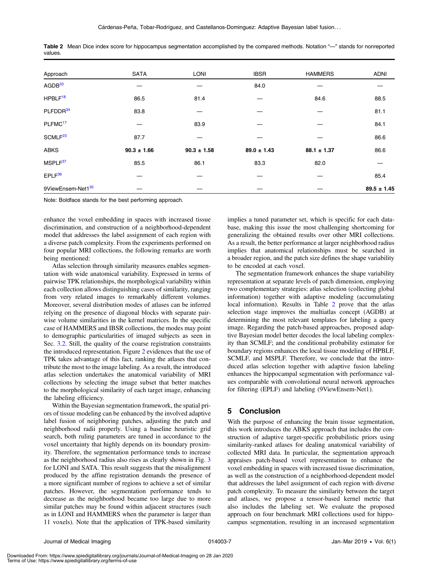| Approach                  | <b>SATA</b>     | <b>LONI</b>     | <b>IBSR</b>     | <b>HAMMERS</b>  | <b>ADNI</b>     |
|---------------------------|-----------------|-----------------|-----------------|-----------------|-----------------|
| AGDB <sup>33</sup>        |                 |                 | 84.0            |                 |                 |
| $H$ PBL $F$ <sup>18</sup> | 86.5            | 81.4            |                 | 84.6            | 88.5            |
| PLFDDR <sup>34</sup>      | 83.8            |                 |                 |                 | 81.1            |
| PLFMC <sup>17</sup>       |                 | 83.9            |                 |                 | 84.1            |
| SCMLF <sup>23</sup>       | 87.7            |                 |                 |                 | 86.6            |
| <b>ABKS</b>               | $90.3 \pm 1.66$ | $90.3 \pm 1.58$ | $89.0 \pm 1.43$ | $88.1 \pm 1.37$ | 86.6            |
| MSPLF <sup>37</sup>       | 85.5            | 86.1            | 83.3            | 82.0            |                 |
| $EPLF^{36}$               |                 |                 |                 |                 | 85.4            |
| 9ViewEnsem-Net135         |                 |                 |                 |                 | $89.5 \pm 1.45$ |

<span id="page-7-1"></span>Table 2 Mean Dice index score for hippocampus segmentation accomplished by the compared methods. Notation "-" stands for nonreported values.

Note: Boldface stands for the best performing approach.

enhance the voxel embedding in spaces with increased tissue discrimination, and construction of a neighborhood-dependent model that addresses the label assignment of each region with a diverse patch complexity. From the experiments performed on four popular MRI collections, the following remarks are worth being mentioned:

Atlas selection through similarity measures enables segmentation with wide anatomical variability. Expressed in terms of pairwise TPK relationships, the morphological variability within each collection allows distinguishing cases of similarity, ranging from very related images to remarkably different volumes. Moreover, several distribution modes of atlases can be inferred relying on the presence of diagonal blocks with separate pairwise volume similarities in the kernel matrices. In the specific case of HAMMERS and IBSR collections, the modes may point to demographic particularities of imaged subjects as seen in Sec. [3.2.](#page-4-1) Still, the quality of the coarse registration constraints the introduced representation. Figure [2](#page-5-1) evidences that the use of TPK takes advantage of this fact, ranking the atlases that contribute the most to the image labeling. As a result, the introduced atlas selection undertakes the anatomical variability of MRI collections by selecting the image subset that better matches to the morphological similarity of each target image, enhancing the labeling efficiency.

Within the Bayesian segmentation framework, the spatial priors of tissue modeling can be enhanced by the involved adaptive label fusion of neighboring patches, adjusting the patch and neighborhood radii properly. Using a baseline heuristic grid search, both ruling parameters are tuned in accordance to the voxel uncertainty that highly depends on its boundary proximity. Therefore, the segmentation performance tends to increase as the neighborhood radius also rises as clearly shown in Fig. [3](#page-6-1) for LONI and SATA. This result suggests that the misalignment produced by the affine registration demands the presence of a more significant number of regions to achieve a set of similar patches. However, the segmentation performance tends to decrease as the neighborhood became too large due to more similar patches may be found within adjacent structures (such as in LONI and HAMMERS when the parameter is larger than 11 voxels). Note that the application of TPK-based similarity implies a tuned parameter set, which is specific for each database, making this issue the most challenging shortcoming for generalizing the obtained results over other MRI collections. As a result, the better performance at larger neighborhood radius implies that anatomical relationships must be searched in a broader region, and the patch size defines the shape variability to be encoded at each voxel.

The segmentation framework enhances the shape variability representation at separate levels of patch dimension, employing two complementary strategies: atlas selection (collecting global information) together with adaptive modeling (accumulating local information). Results in Table [2](#page-7-1) prove that the atlas selection stage improves the multiatlas concept (AGDB) at determining the most relevant templates for labeling a query image. Regarding the patch-based approaches, proposed adaptive Bayesian model better decodes the local labeling complexity than SCMLF; and the conditional probability estimator for boundary regions enhances the local tissue modeling of HPBLF, SCMLF, and MSPLF. Therefore, we conclude that the introduced atlas selection together with adaptive fusion labeling enhances the hippocampal segmentation with performance values comparable with convolutional neural network approaches for filtering (EPLF) and labeling (9ViewEnsem-Net1).

#### <span id="page-7-0"></span>5 Conclusion

With the purpose of enhancing the brain tissue segmentation, this work introduces the ABKS approach that includes the construction of adaptive target-specific probabilistic priors using similarity-ranked atlases for dealing anatomical variability of collected MRI data. In particular, the segmentation approach appraises patch-based voxel representation to enhance the voxel embedding in spaces with increased tissue discrimination, as well as the construction of a neighborhood-dependent model that addresses the label assignment of each region with diverse patch complexity. To measure the similarity between the target and atlases, we propose a tensor-based kernel metric that also includes the labeling set. We evaluate the proposed approach on four benchmark MRI collections used for hippocampus segmentation, resulting in an increased segmentation